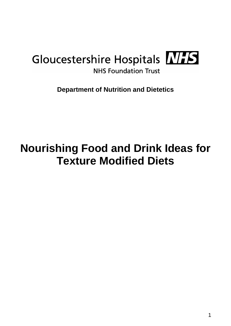## Gloucestershire Hospitals NIS **NHS Foundation Trust**

**Department of Nutrition and Dietetics**

# **Nourishing Food and Drink Ideas for Texture Modified Diets**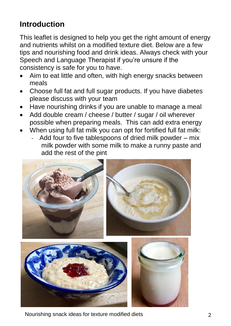## **Introduction**

This leaflet is designed to help you get the right amount of energy and nutrients whilst on a modified texture diet. Below are a few tips and nourishing food and drink ideas. Always check with your Speech and Language Therapist if you're unsure if the consistency is safe for you to have.

- Aim to eat little and often, with high energy snacks between meals
- Choose full fat and full sugar products. If you have diabetes please discuss with your team
- Have nourishing drinks if you are unable to manage a meal
- Add double cream / cheese / butter / sugar / oil wherever possible when preparing meals. This can add extra energy
- When using full fat milk you can opt for fortified full fat milk:
	- Add four to five tablespoons of dried milk powder mix milk powder with some milk to make a runny paste and add the rest of the pint



Nourishing snack ideas for texture modified diets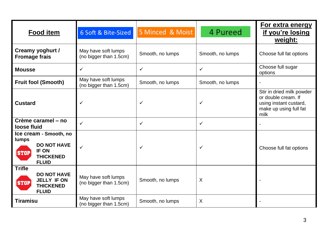| <b>Food item</b>                                                                                                         | 6 Soft & Bite-Sized                           | 5 Minced & Moist | 4 Pureed         | For extra energy<br>if you're losing<br>weight:                                                              |
|--------------------------------------------------------------------------------------------------------------------------|-----------------------------------------------|------------------|------------------|--------------------------------------------------------------------------------------------------------------|
| Creamy yoghurt /<br><b>Fromage frais</b>                                                                                 | May have soft lumps<br>(no bigger than 1.5cm) | Smooth, no lumps | Smooth, no lumps | Choose full fat options                                                                                      |
| <b>Mousse</b>                                                                                                            | ✓                                             | $\checkmark$     | $\checkmark$     | Choose full sugar<br>options                                                                                 |
| <b>Fruit fool (Smooth)</b>                                                                                               | May have soft lumps<br>(no bigger than 1.5cm) | Smooth, no lumps | Smooth, no lumps |                                                                                                              |
| <b>Custard</b>                                                                                                           | $\checkmark$                                  | $\checkmark$     | $\checkmark$     | Stir in dried milk powder<br>or double cream. If<br>using instant custard,<br>make up using full fat<br>milk |
| Crème caramel – no<br>loose fluid                                                                                        | ✓                                             | $\checkmark$     | ✓                |                                                                                                              |
| Ice cream - Smooth, no<br>lumps<br><b>DO NOT HAVE</b><br><b>IF ON</b><br><b>STOP</b><br><b>THICKENED</b><br><b>FLUID</b> | ✓                                             | $\checkmark$     | ✓                | Choose full fat options                                                                                      |
| <b>Trifle</b><br><b>DO NOT HAVE</b><br><b>JELLY IF ON</b><br><b>STOP</b><br><b>THICKENED</b><br><b>FLUID</b>             | May have soft lumps<br>(no bigger than 1.5cm) | Smooth, no lumps | X                |                                                                                                              |
| <b>Tiramisu</b>                                                                                                          | May have soft lumps<br>(no bigger than 1.5cm) | Smooth, no lumps | X                |                                                                                                              |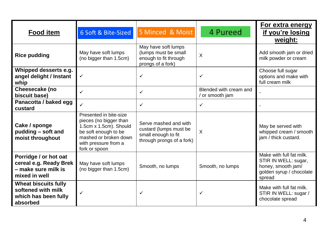| <b>Food item</b>                                                                        | 6 Soft & Bite-Sized                                                                                                                                                  | 5 Minced & Moist                                                                                    | 4 Pureed                                  | For extra energy<br>if you're losing<br>weight:                                                              |
|-----------------------------------------------------------------------------------------|----------------------------------------------------------------------------------------------------------------------------------------------------------------------|-----------------------------------------------------------------------------------------------------|-------------------------------------------|--------------------------------------------------------------------------------------------------------------|
| <b>Rice pudding</b>                                                                     | May have soft lumps<br>(no bigger than 1.5cm)                                                                                                                        | May have soft lumps<br>(lumps must be small<br>enough to fit through<br>prongs of a fork)           | X                                         | Add smooth jam or dried<br>milk powder or cream                                                              |
| Whipped desserts e.g.<br>angel delight / Instant<br>whip                                | $\checkmark$                                                                                                                                                         | ✓                                                                                                   | ✓                                         | Choose full sugar<br>options and make with<br>full cream milk                                                |
| Cheesecake (no<br>biscuit base)                                                         | $\checkmark$                                                                                                                                                         | ✓                                                                                                   | Blended with cream and<br>/ or smooth jam |                                                                                                              |
| Panacotta / baked egg<br>custard                                                        | $\checkmark$                                                                                                                                                         | ✓                                                                                                   | ✓                                         |                                                                                                              |
| Cake / sponge<br>pudding - soft and<br>moist throughout                                 | Presented in bite-size<br>pieces (no bigger than<br>1.5cm x 1.5cm). Should<br>be soft enough to be<br>mashed or broken down<br>with pressure from a<br>fork or spoon | Serve mashed and with<br>custard (lumps must be<br>small enough to fit<br>through prongs of a fork) | X                                         | May be served with<br>whipped cream / smooth<br>jam / thick custard.                                         |
| Porridge / or hot oat<br>cereal e.g. Ready Brek<br>- make sure milk is<br>mixed in well | May have soft lumps<br>(no bigger than 1.5cm)                                                                                                                        | Smooth, no lumps                                                                                    | Smooth, no lumps                          | Make with full fat milk.<br>STIR IN WELL: sugar,<br>honey, smooth jam/<br>golden syrup / chocolate<br>spread |
| <b>Wheat biscuits fully</b><br>softened with milk<br>which has been fully<br>absorbed   | $\checkmark$                                                                                                                                                         | ✓                                                                                                   | ✓                                         | Make with full fat milk.<br>STIR IN WELL: sugar /<br>chocolate spread                                        |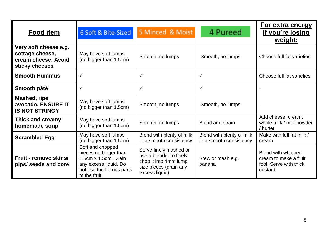| <b>Food item</b>                                                                  | 6 Soft & Bite-Sized                                                                                                                     | 5 Minced & Moist                                                                                                       | 4 Pureed                                             | For extra energy<br>if you're losing<br>weight:                                  |
|-----------------------------------------------------------------------------------|-----------------------------------------------------------------------------------------------------------------------------------------|------------------------------------------------------------------------------------------------------------------------|------------------------------------------------------|----------------------------------------------------------------------------------|
| Very soft cheese e.g.<br>cottage cheese,<br>cream cheese. Avoid<br>sticky cheeses | May have soft lumps<br>(no bigger than 1.5cm)                                                                                           | Smooth, no lumps                                                                                                       | Smooth, no lumps                                     | Choose full fat varieties                                                        |
| <b>Smooth Hummus</b>                                                              | $\checkmark$                                                                                                                            | ✓                                                                                                                      | ✓                                                    | Choose full fat varieties                                                        |
| Smooth pâté                                                                       | ✓                                                                                                                                       | ✓                                                                                                                      | ✓                                                    |                                                                                  |
| Mashed, ripe<br>avocado. ENSURE IT<br><b>IS NOT STRINGY</b>                       | May have soft lumps<br>(no bigger than 1.5cm)                                                                                           | Smooth, no lumps                                                                                                       | Smooth, no lumps                                     |                                                                                  |
| Thick and creamy<br>homemade soup                                                 | May have soft lumps<br>(no bigger than 1.5cm)                                                                                           | Smooth, no lumps                                                                                                       | Blend and strain                                     | Add cheese, cream,<br>whole milk / milk powder<br>/ butter                       |
| <b>Scrambled Egg</b>                                                              | May have soft lumps<br>(no bigger than 1.5cm)                                                                                           | Blend with plenty of milk<br>to a smooth consistency                                                                   | Blend with plenty of milk<br>to a smooth consistency | Make with full fat milk /<br>cream                                               |
| Fruit - remove skins/<br>pips/ seeds and core                                     | Soft and chopped<br>pieces no bigger than<br>1.5cm x 1.5cm, Drain<br>any excess liquid. Do<br>not use the fibrous parts<br>of the fruit | Serve finely mashed or<br>use a blender to finely<br>chop it into 4mm lump<br>size pieces (drain any<br>excess liquid) | Stew or mash e.g.<br>banana                          | Blend with whipped<br>cream to make a fruit<br>fool. Serve with thick<br>custard |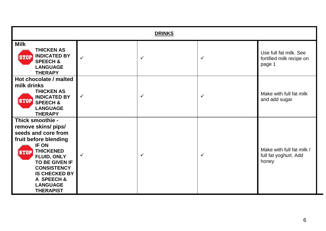| <b>DRINKS</b>                                                                                                                                                                                                                                                                  |              |              |   |                                                              |
|--------------------------------------------------------------------------------------------------------------------------------------------------------------------------------------------------------------------------------------------------------------------------------|--------------|--------------|---|--------------------------------------------------------------|
| <b>Milk</b><br><b>THICKEN AS</b><br><b>INDICATED BY</b><br><b>STOP</b><br><b>SPEECH &amp;</b><br><b>LANGUAGE</b><br><b>THERAPY</b>                                                                                                                                             | $\checkmark$ | $\checkmark$ | ✓ | Use full fat milk. See<br>fortified milk recipe on<br>page 1 |
| Hot chocolate / malted<br>milk drinks<br><b>THICKEN AS</b><br><b>INDICATED BY</b><br><b>STOP</b><br><b>SPEECH &amp;</b><br><b>LANGUAGE</b><br><b>THERAPY</b>                                                                                                                   | ✓            | $\checkmark$ | ✓ | Make with full fat milk<br>and add sugar                     |
| Thick smoothie -<br>remove skins/ pips/<br>seeds and core from<br>fruit before blending<br>IF ON<br><b>THICKENED</b><br><b>STOP</b><br><b>FLUID, ONLY</b><br>TO BE GIVEN IF<br><b>CONSISTENCY</b><br><b>IS CHECKED BY</b><br>A SPEECH &<br><b>LANGUAGE</b><br><b>THERAPIST</b> | ✓            | $\checkmark$ | ✓ | Make with full fat milk /<br>full fat yoghurt. Add<br>honey  |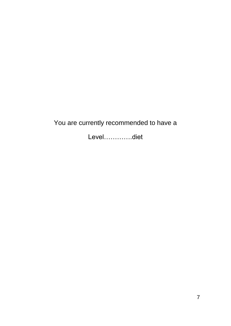### You are currently recommended to have a

Level………….diet